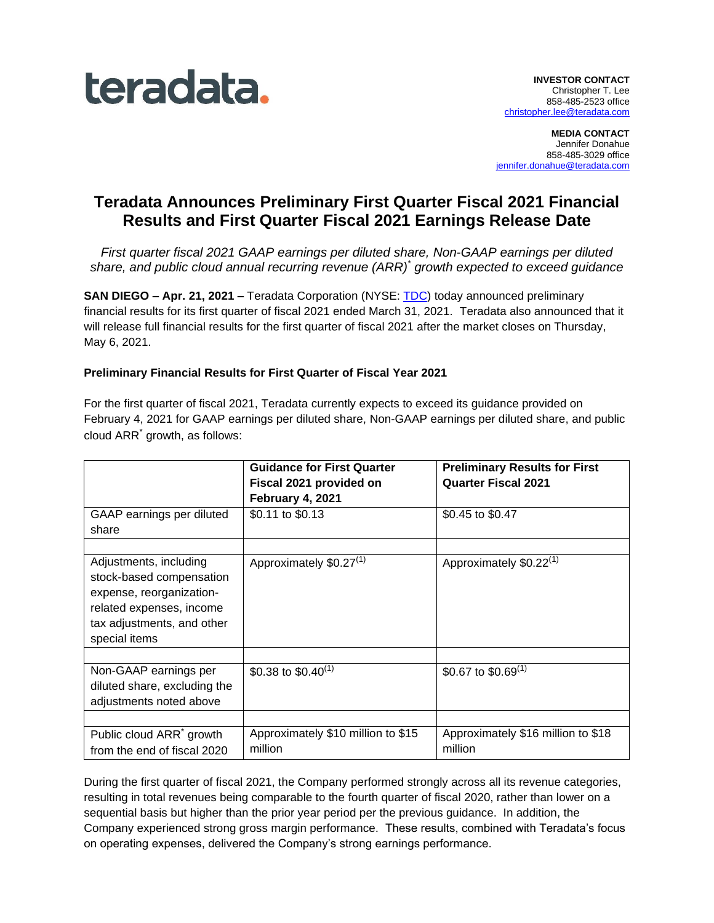

**MEDIA CONTACT** Jennifer Donahue 858-485-3029 office [jennifer.donahue@teradata.com](mailto:jennifer.donahue@teradata.com)

# **Teradata Announces Preliminary First Quarter Fiscal 2021 Financial Results and First Quarter Fiscal 2021 Earnings Release Date**

*First quarter fiscal 2021 GAAP earnings per diluted share, Non-GAAP earnings per diluted share, and public cloud annual recurring revenue (ARR) \* growth expected to exceed guidance*

**SAN DIEGO – Apr. 21, 2021 –** Teradata Corporation (NYSE: [TDC\)](http://www.teradata.com/) today announced preliminary financial results for its first quarter of fiscal 2021 ended March 31, 2021. Teradata also announced that it will release full financial results for the first quarter of fiscal 2021 after the market closes on Thursday, May 6, 2021.

# **Preliminary Financial Results for First Quarter of Fiscal Year 2021**

For the first quarter of fiscal 2021, Teradata currently expects to exceed its guidance provided on February 4, 2021 for GAAP earnings per diluted share, Non-GAAP earnings per diluted share, and public cloud ARR\* growth, as follows:

|                                                                                                                                                           | <b>Guidance for First Quarter</b><br>Fiscal 2021 provided on<br>February 4, 2021 | <b>Preliminary Results for First</b><br><b>Quarter Fiscal 2021</b> |
|-----------------------------------------------------------------------------------------------------------------------------------------------------------|----------------------------------------------------------------------------------|--------------------------------------------------------------------|
| GAAP earnings per diluted<br>share                                                                                                                        | \$0.11 to \$0.13                                                                 | \$0.45 to \$0.47                                                   |
| Adjustments, including<br>stock-based compensation<br>expense, reorganization-<br>related expenses, income<br>tax adjustments, and other<br>special items | Approximately \$0.27 <sup>(1)</sup>                                              | Approximately \$0.22 <sup>(1)</sup>                                |
| Non-GAAP earnings per<br>diluted share, excluding the<br>adjustments noted above                                                                          | \$0.38 to \$0.40 <sup>(1)</sup>                                                  | \$0.67 to \$0.69 $(1)$                                             |
| Public cloud ARR <sup>*</sup> growth<br>from the end of fiscal 2020                                                                                       | Approximately \$10 million to \$15<br>million                                    | Approximately \$16 million to \$18<br>million                      |

During the first quarter of fiscal 2021, the Company performed strongly across all its revenue categories, resulting in total revenues being comparable to the fourth quarter of fiscal 2020, rather than lower on a sequential basis but higher than the prior year period per the previous guidance. In addition, the Company experienced strong gross margin performance. These results, combined with Teradata's focus on operating expenses, delivered the Company's strong earnings performance.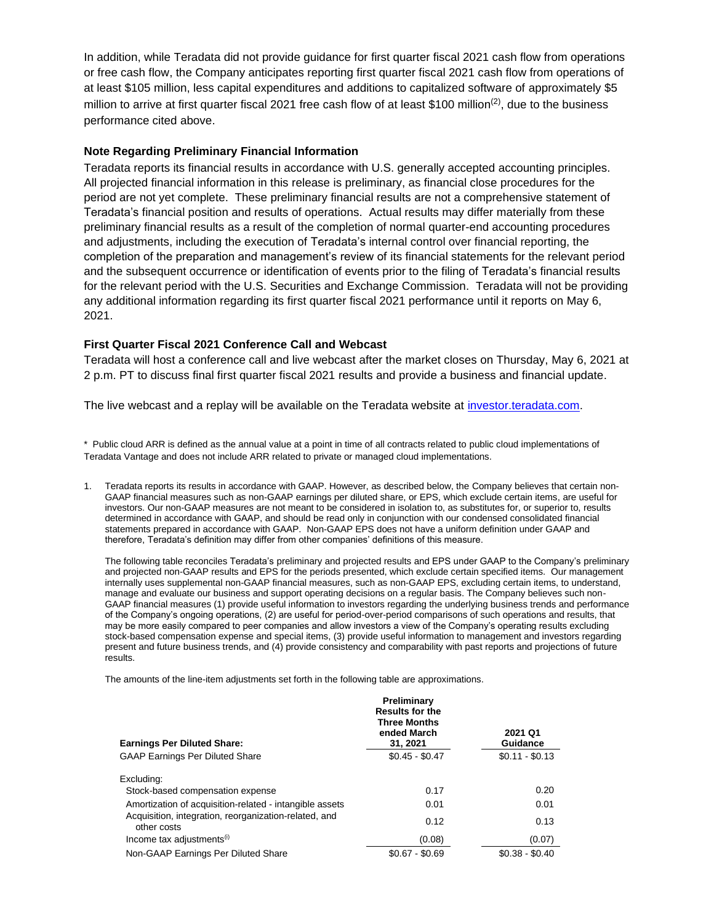In addition, while Teradata did not provide guidance for first quarter fiscal 2021 cash flow from operations or free cash flow, the Company anticipates reporting first quarter fiscal 2021 cash flow from operations of at least \$105 million, less capital expenditures and additions to capitalized software of approximately \$5 million to arrive at first quarter fiscal 2021 free cash flow of at least \$100 million<sup>(2)</sup>, due to the business performance cited above.

## **Note Regarding Preliminary Financial Information**

Teradata reports its financial results in accordance with U.S. generally accepted accounting principles. All projected financial information in this release is preliminary, as financial close procedures for the period are not yet complete. These preliminary financial results are not a comprehensive statement of Teradata's financial position and results of operations. Actual results may differ materially from these preliminary financial results as a result of the completion of normal quarter-end accounting procedures and adjustments, including the execution of Teradata's internal control over financial reporting, the completion of the preparation and management's review of its financial statements for the relevant period and the subsequent occurrence or identification of events prior to the filing of Teradata's financial results for the relevant period with the U.S. Securities and Exchange Commission. Teradata will not be providing any additional information regarding its first quarter fiscal 2021 performance until it reports on May 6, 2021.

### **First Quarter Fiscal 2021 Conference Call and Webcast**

Teradata will host a conference call and live webcast after the market closes on Thursday, May 6, 2021 at 2 p.m. PT to discuss final first quarter fiscal 2021 results and provide a business and financial update.

The live webcast and a replay will be available on the Teradata website at [investor.teradata.com.](http://investor.teradata.com/)

\* Public cloud ARR is defined as the annual value at a point in time of all contracts related to public cloud implementations of Teradata Vantage and does not include ARR related to private or managed cloud implementations.

1. Teradata reports its results in accordance with GAAP. However, as described below, the Company believes that certain non-GAAP financial measures such as non-GAAP earnings per diluted share, or EPS, which exclude certain items, are useful for investors. Our non-GAAP measures are not meant to be considered in isolation to, as substitutes for, or superior to, results determined in accordance with GAAP, and should be read only in conjunction with our condensed consolidated financial statements prepared in accordance with GAAP. Non-GAAP EPS does not have a uniform definition under GAAP and therefore, Teradata's definition may differ from other companies' definitions of this measure.

The following table reconciles Teradata's preliminary and projected results and EPS under GAAP to the Company's preliminary and projected non-GAAP results and EPS for the periods presented, which exclude certain specified items. Our management internally uses supplemental non-GAAP financial measures, such as non-GAAP EPS, excluding certain items, to understand, manage and evaluate our business and support operating decisions on a regular basis. The Company believes such non-GAAP financial measures (1) provide useful information to investors regarding the underlying business trends and performance of the Company's ongoing operations, (2) are useful for period-over-period comparisons of such operations and results, that may be more easily compared to peer companies and allow investors a view of the Company's operating results excluding stock-based compensation expense and special items, (3) provide useful information to management and investors regarding present and future business trends, and (4) provide consistency and comparability with past reports and projections of future results.

The amounts of the line-item adjustments set forth in the following table are approximations.

| <b>Earnings Per Diluted Share:</b>                                   | <b>Preliminary</b><br><b>Results for the</b><br><b>Three Months</b><br>ended March<br>31, 2021 | 2021 Q1<br><b>Guidance</b> |
|----------------------------------------------------------------------|------------------------------------------------------------------------------------------------|----------------------------|
| <b>GAAP Earnings Per Diluted Share</b>                               | $$0.45 - $0.47$                                                                                | $$0.11 - $0.13$            |
| Excluding:                                                           |                                                                                                |                            |
| Stock-based compensation expense                                     | 0.17                                                                                           | 0.20                       |
| Amortization of acquisition-related - intangible assets              | 0.01                                                                                           | 0.01                       |
| Acquisition, integration, reorganization-related, and<br>other costs | 0.12                                                                                           | 0.13                       |
| Income tax adjustments <sup>(i)</sup>                                | (0.08)                                                                                         | (0.07)                     |
| Non-GAAP Earnings Per Diluted Share                                  | $$0.67 - $0.69$                                                                                | $$0.38 - $0.40$            |